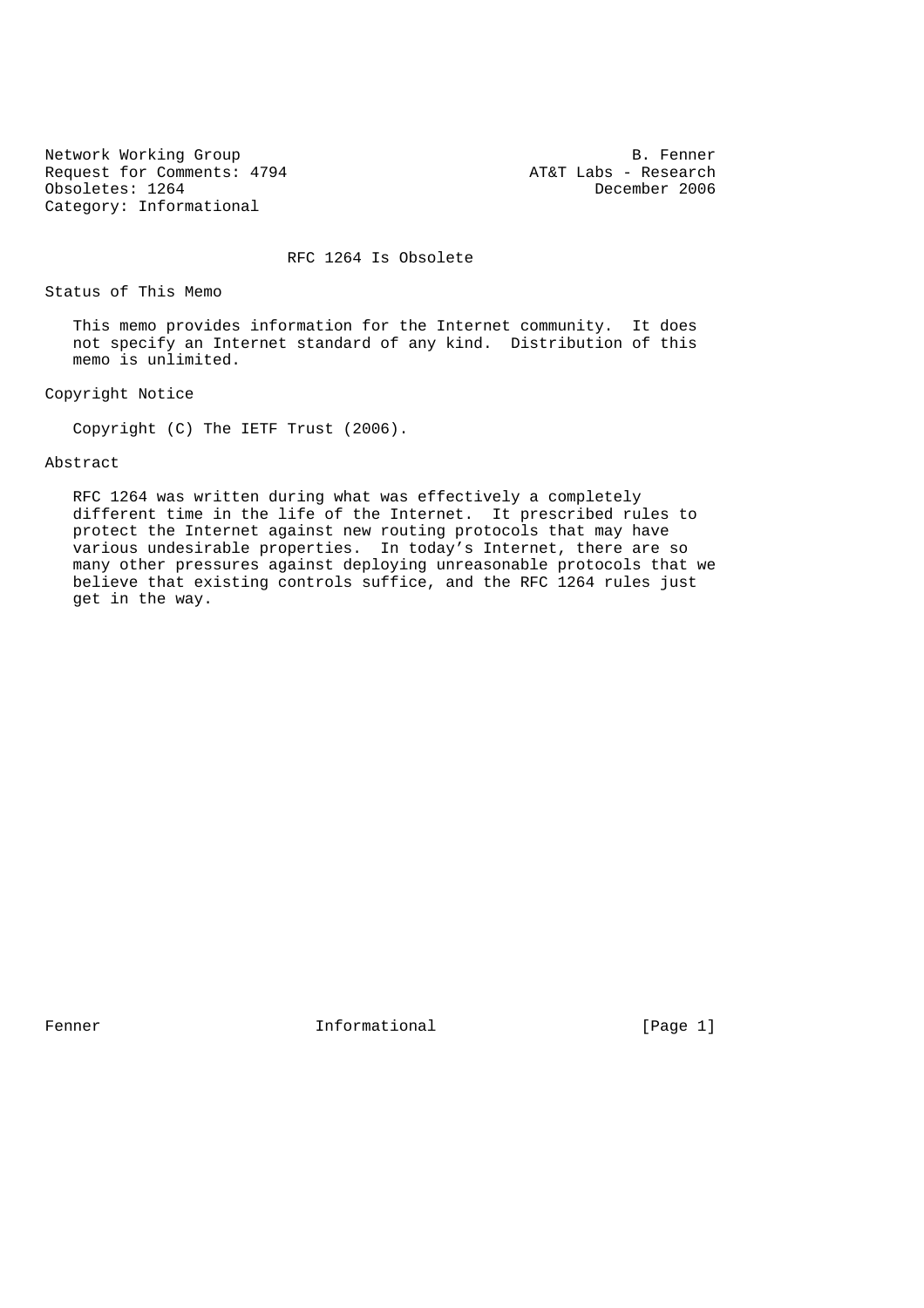Network Working Group B. Fenner<br>Request for Comments: 4794 Bequest for Comments: 4794 Bequest for Comments: 4794 Request for Comments: 4794 <br>
Obsoletes: 1264 <br>
Obsoletes: 1264 <br>
AT&T Labs - Research Obsoletes: 1264 Category: Informational

RFC 1264 Is Obsolete

Status of This Memo

 This memo provides information for the Internet community. It does not specify an Internet standard of any kind. Distribution of this memo is unlimited.

Copyright Notice

Copyright (C) The IETF Trust (2006).

### Abstract

 RFC 1264 was written during what was effectively a completely different time in the life of the Internet. It prescribed rules to protect the Internet against new routing protocols that may have various undesirable properties. In today's Internet, there are so many other pressures against deploying unreasonable protocols that we believe that existing controls suffice, and the RFC 1264 rules just get in the way.

Fenner 11 Informational 1996 [Page 1]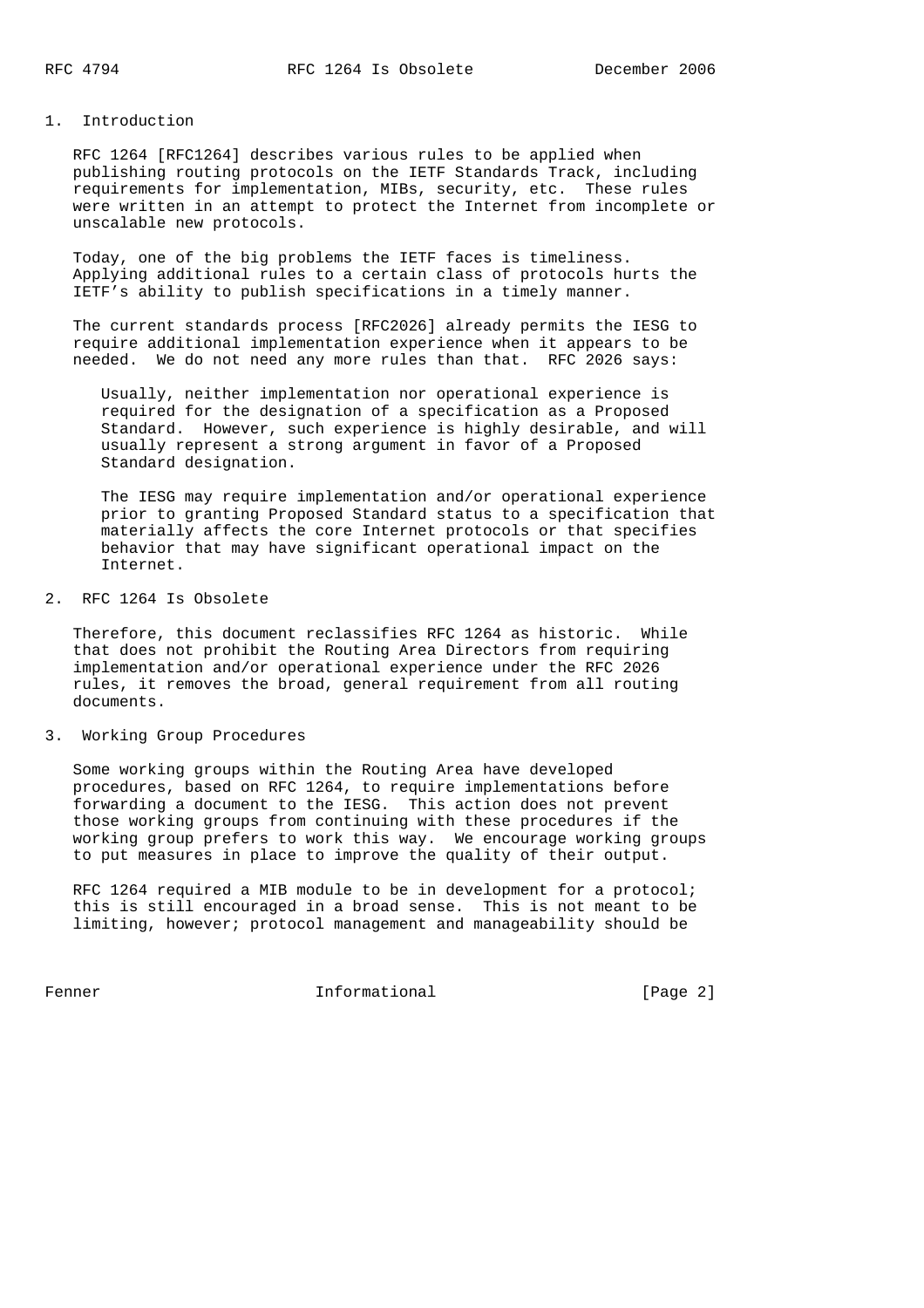#### 1. Introduction

 RFC 1264 [RFC1264] describes various rules to be applied when publishing routing protocols on the IETF Standards Track, including requirements for implementation, MIBs, security, etc. These rules were written in an attempt to protect the Internet from incomplete or unscalable new protocols.

 Today, one of the big problems the IETF faces is timeliness. Applying additional rules to a certain class of protocols hurts the IETF's ability to publish specifications in a timely manner.

 The current standards process [RFC2026] already permits the IESG to require additional implementation experience when it appears to be needed. We do not need any more rules than that. RFC 2026 says:

 Usually, neither implementation nor operational experience is required for the designation of a specification as a Proposed Standard. However, such experience is highly desirable, and will usually represent a strong argument in favor of a Proposed Standard designation.

 The IESG may require implementation and/or operational experience prior to granting Proposed Standard status to a specification that materially affects the core Internet protocols or that specifies behavior that may have significant operational impact on the Internet.

# 2. RFC 1264 Is Obsolete

 Therefore, this document reclassifies RFC 1264 as historic. While that does not prohibit the Routing Area Directors from requiring implementation and/or operational experience under the RFC 2026 rules, it removes the broad, general requirement from all routing documents.

### 3. Working Group Procedures

 Some working groups within the Routing Area have developed procedures, based on RFC 1264, to require implementations before forwarding a document to the IESG. This action does not prevent those working groups from continuing with these procedures if the working group prefers to work this way. We encourage working groups to put measures in place to improve the quality of their output.

 RFC 1264 required a MIB module to be in development for a protocol; this is still encouraged in a broad sense. This is not meant to be limiting, however; protocol management and manageability should be

Fenner 11 Informational 1999 [Page 2]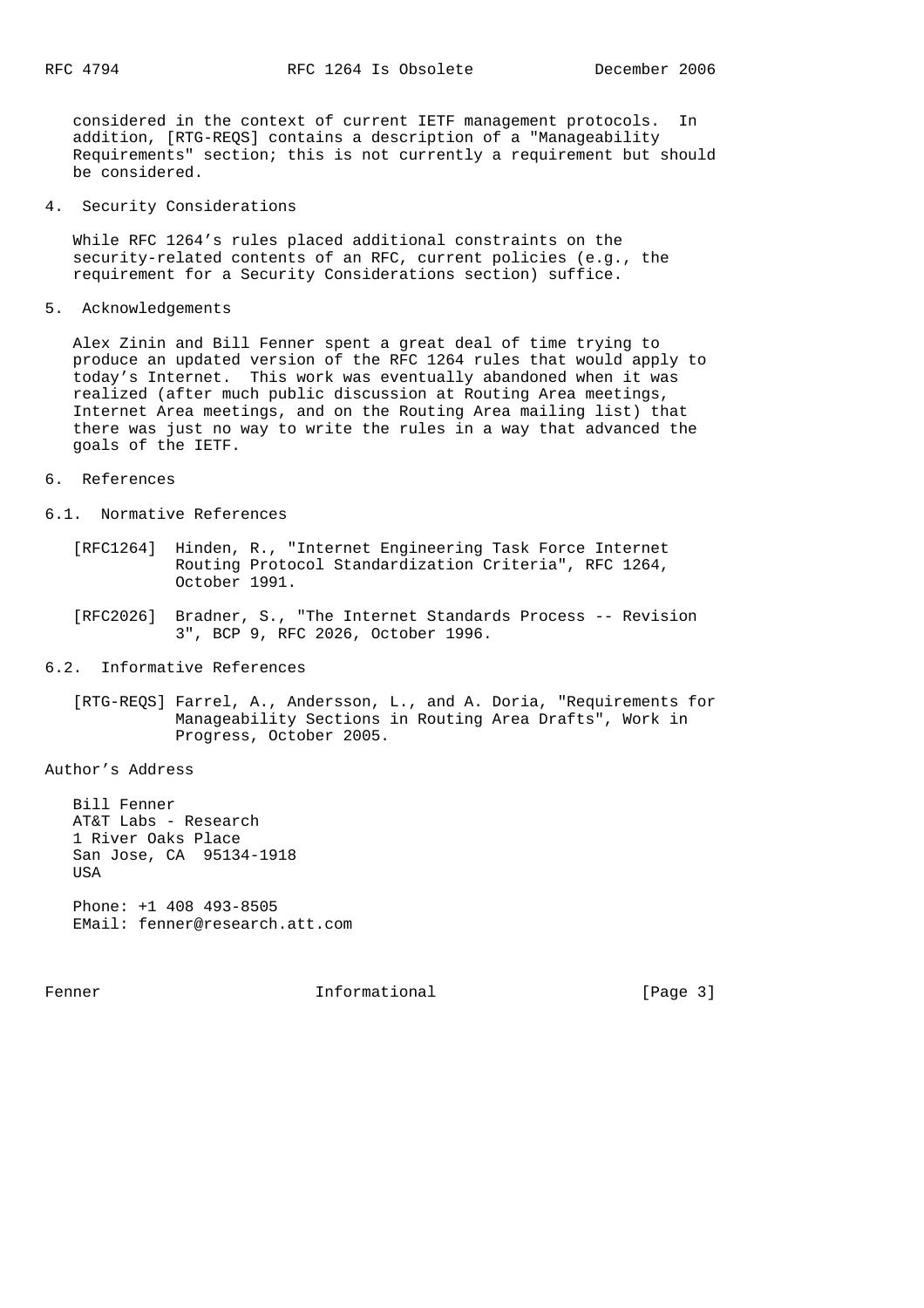considered in the context of current IETF management protocols. In addition, [RTG-REQS] contains a description of a "Manageability Requirements" section; this is not currently a requirement but should be considered.

4. Security Considerations

 While RFC 1264's rules placed additional constraints on the security-related contents of an RFC, current policies (e.g., the requirement for a Security Considerations section) suffice.

5. Acknowledgements

 Alex Zinin and Bill Fenner spent a great deal of time trying to produce an updated version of the RFC 1264 rules that would apply to today's Internet. This work was eventually abandoned when it was realized (after much public discussion at Routing Area meetings, Internet Area meetings, and on the Routing Area mailing list) that there was just no way to write the rules in a way that advanced the goals of the IETF.

6. References

6.1. Normative References

- [RFC1264] Hinden, R., "Internet Engineering Task Force Internet Routing Protocol Standardization Criteria", RFC 1264, October 1991.
- [RFC2026] Bradner, S., "The Internet Standards Process -- Revision 3", BCP 9, RFC 2026, October 1996.
- 6.2. Informative References

 [RTG-REQS] Farrel, A., Andersson, L., and A. Doria, "Requirements for Manageability Sections in Routing Area Drafts", Work in Progress, October 2005.

Author's Address

 Bill Fenner AT&T Labs - Research 1 River Oaks Place San Jose, CA 95134-1918 USA Phone: +1 408 493-8505 EMail: fenner@research.att.com

Fenner 11 Informational 1996 [Page 3]